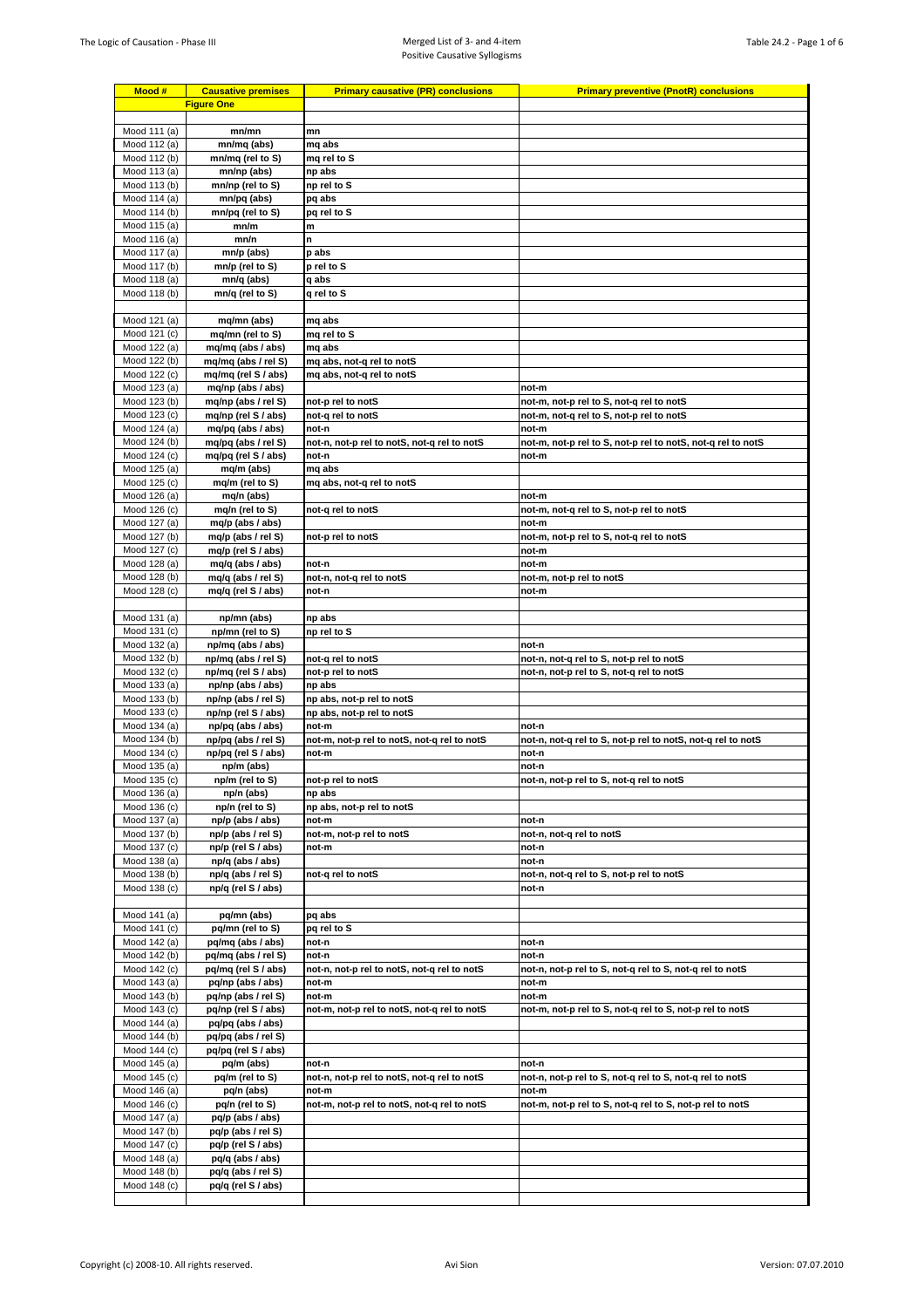| Mood #                       | <b>Causative premises</b>                  | <b>Primary causative (PR) conclusions</b>              | <b>Primary preventive (PnotR) conclusions</b>                     |
|------------------------------|--------------------------------------------|--------------------------------------------------------|-------------------------------------------------------------------|
|                              | <b>Figure One</b>                          |                                                        |                                                                   |
|                              |                                            |                                                        |                                                                   |
| Mood 111 (a)                 | mn/mn                                      | mn                                                     |                                                                   |
| Mood 112 (a)                 | mn/mq (abs)                                | mq abs<br>mg rel to S                                  |                                                                   |
| Mood 112 (b)<br>Mood 113 (a) | mn/mq (rel to S)<br>mn/np (abs)            | np abs                                                 |                                                                   |
| Mood 113 (b)                 | mn/np (rel to S)                           | np rel to S                                            |                                                                   |
| Mood 114 (a)                 | mn/pq (abs)                                | pq abs                                                 |                                                                   |
| Mood 114 (b)                 | mn/pq (rel to S)                           | pq rel to S                                            |                                                                   |
| Mood 115 (a)                 | mn/m                                       | m                                                      |                                                                   |
| Mood 116 (a)                 | mn/n                                       | n.                                                     |                                                                   |
| Mood 117 (a)<br>Mood 117 (b) | mn/p (abs)<br>mn/p (rel to S)              | p abs<br>p rel to S                                    |                                                                   |
| Mood 118 (a)                 | mn/q (abs)                                 | q abs                                                  |                                                                   |
| Mood 118 (b)                 | mn/q (rel to S)                            | q rel to S                                             |                                                                   |
|                              |                                            |                                                        |                                                                   |
| Mood 121 (a)                 | mq/mn (abs)                                | mq abs                                                 |                                                                   |
| Mood 121 (c)                 | mq/mn (rel to S)                           | mq rel to S                                            |                                                                   |
| Mood 122 (a)                 | mq/mq (abs / abs)                          | mq abs                                                 |                                                                   |
| Mood 122 (b)<br>Mood 122 (c) | mq/mq (abs / rel S)<br>mq/mq (rel S / abs) | mq abs, not-q rel to notS<br>mq abs, not-q rel to notS |                                                                   |
| Mood 123 (a)                 | mq/np (abs / abs)                          |                                                        | not-m                                                             |
| Mood 123 (b)                 | mq/np (abs / rel S)                        | not-p rel to notS                                      | not-m, not-p rel to S, not-q rel to notS                          |
| Mood 123 (c)                 | mq/np (rel S / abs)                        | not-q rel to notS                                      | not-m, not-q rel to S, not-p rel to notS                          |
| Mood 124 (a)                 | mq/pq (abs / abs)                          | not-n                                                  | not-m                                                             |
| Mood 124 (b)                 | mq/pq (abs / rel S)                        | not-n, not-p rel to notS, not-q rel to notS            | not-m, not-p rel to S, not-p rel to notS, not-q rel to notS       |
| Mood 124 (c)                 | mq/pq (rel S / abs)                        | not-n                                                  | not-m                                                             |
| Mood 125 (a)<br>Mood 125 (c) | mq/m (abs)<br>mq/m (rel to S)              | mq abs<br>mq abs, not-q rel to notS                    |                                                                   |
| Mood 126 (a)                 | mq/n (abs)                                 |                                                        | not-m                                                             |
| Mood 126 (c)                 | mq/n (rel to S)                            | not-q rel to notS                                      | not-m, not-q rel to S, not-p rel to notS                          |
| Mood 127 (a)                 | mq/p (abs / abs)                           |                                                        | not-m                                                             |
| Mood 127 (b)                 | mq/p (abs / rel S)                         | not-p rel to notS                                      | not-m, not-p rel to S, not-q rel to notS                          |
| Mood 127 (c)                 | mq/p (rel S / abs)                         |                                                        | not-m                                                             |
| Mood 128 (a)                 | $mq/q$ (abs / abs)                         | not-n                                                  | not-m                                                             |
| Mood 128 (b)<br>Mood 128 (c) | mq/q (abs / rel S)<br>mq/q (rel S / abs)   | not-n, not-q rel to notS<br>not-n                      | not-m, not-p rel to notS<br>not-m                                 |
|                              |                                            |                                                        |                                                                   |
| Mood 131 (a)                 | np/mn (abs)                                | np abs                                                 |                                                                   |
| Mood 131 (c)                 | np/mn (rel to S)                           | np rel to S                                            |                                                                   |
| Mood 132 (a)                 | np/mq (abs / abs)                          |                                                        | not-n                                                             |
| Mood 132 (b)                 | np/mq (abs / rel S)                        | not-q rel to notS                                      | not-n, not-q rel to S, not-p rel to notS                          |
| Mood 132 (c)<br>Mood 133 (a) | np/mq (rel S / abs)<br>np/np (abs / abs)   | not-p rel to notS<br>np abs                            | not-n, not-p rel to S, not-q rel to notS                          |
| Mood 133 (b)                 | np/np (abs / rel S)                        | np abs, not-p rel to notS                              |                                                                   |
| Mood 133 (c)                 | np/np (rel S / abs)                        | np abs, not-p rel to notS                              |                                                                   |
| Mood 134 (a)                 | np/pq (abs / abs)                          | not-m                                                  | not-n                                                             |
| Mood 134 (b)                 | np/pq (abs / rel S)                        | not-m, not-p rel to notS, not-q rel to notS            | not-n, not-q rel to S, not-p rel to notS, not-q rel to notS       |
| Mood 134 (c)                 | np/pq (rel S / abs)                        | not-m                                                  | not-n                                                             |
| Mood 135 (a)                 | np/m (abs)                                 |                                                        | not-n                                                             |
| Mood 135 (c)<br>Mood 136 (a) | np/m (rel to S)<br>np/n (abs)              | not-p rel to notS<br>np abs                            | not-n, not-p rel to S, not-q rel to notS                          |
| Mood 136 (c)                 | np/n (rel to S)                            | np abs, not-p rel to notS                              |                                                                   |
| Mood 137 (a)                 | np/p (abs / abs)                           | not-m                                                  | not-n                                                             |
| Mood 137 (b)                 | np/p (abs / rel S)                         | not-m, not-p rel to notS                               | not-n, not-g rel to notS                                          |
| Mood 137 (c)                 | np/p (rel S / abs)                         | not-m                                                  | not-n                                                             |
| Mood 138 (a)                 | np/q (abs / abs)                           |                                                        | not-n                                                             |
| Mood 138 (b)                 | np/q (abs / rel S)                         | not-q rel to notS                                      | not-n, not-q rel to S, not-p rel to notS                          |
| Mood 138 (c)                 | np/q (rel S / abs)                         |                                                        | not-n                                                             |
| Mood 141 (a)                 | pq/mn (abs)                                | pq abs                                                 |                                                                   |
| Mood 141 (c)                 | pq/mn (rel to S)                           | pq rel to S                                            |                                                                   |
| Mood 142 (a)                 | pq/mq (abs / abs)                          | not-n                                                  | not-n                                                             |
| Mood 142 (b)                 | pq/mq (abs / rel S)                        | not-n                                                  | not-n                                                             |
| Mood 142 (c)                 | pq/mq (rel S / abs)                        | not-n, not-p rel to notS, not-q rel to notS            | not-n, not-p rel to S, not-q rel to S, not-q rel to notS          |
| Mood 143 (a)                 | pq/np (abs / abs)                          | not-m                                                  | not-m                                                             |
| Mood 143 (b)<br>Mood 143 (c) | pq/np (abs / rel S)<br>pq/np (rel S / abs) | not-m<br>not-m, not-p rel to notS, not-q rel to notS   | not-m<br>not-m, not-p rel to S, not-q rel to S, not-p rel to notS |
| Mood 144 (a)                 | pq/pq (abs / abs)                          |                                                        |                                                                   |
| Mood 144 (b)                 | pq/pq (abs / rel S)                        |                                                        |                                                                   |
| Mood 144 (c)                 | pq/pq (rel S / abs)                        |                                                        |                                                                   |
| Mood 145 (a)                 | pq/m (abs)                                 | not-n                                                  | not-n                                                             |
| Mood 145 (c)                 | pq/m (rel to S)                            | not-n, not-p rel to notS, not-q rel to notS            | not-n, not-p rel to S, not-q rel to S, not-q rel to notS          |
| Mood 146 (a)                 | pq/n (abs)                                 | not-m                                                  | not-m                                                             |
| Mood 146 (c)<br>Mood 147 (a) | pq/n (rel to S)<br>pq/p (abs / abs)        | not-m, not-p rel to notS, not-q rel to notS            | not-m, not-p rel to S, not-q rel to S, not-p rel to notS          |
| Mood 147 (b)                 | pq/p (abs / rel S)                         |                                                        |                                                                   |
| Mood 147 (c)                 | pq/p (rel S / abs)                         |                                                        |                                                                   |
| Mood 148 (a)                 | pq/q (abs / abs)                           |                                                        |                                                                   |
| Mood 148 (b)                 | pq/q (abs / rel S)                         |                                                        |                                                                   |
| Mood 148 (c)                 | pq/q (rel S / abs)                         |                                                        |                                                                   |
|                              |                                            |                                                        |                                                                   |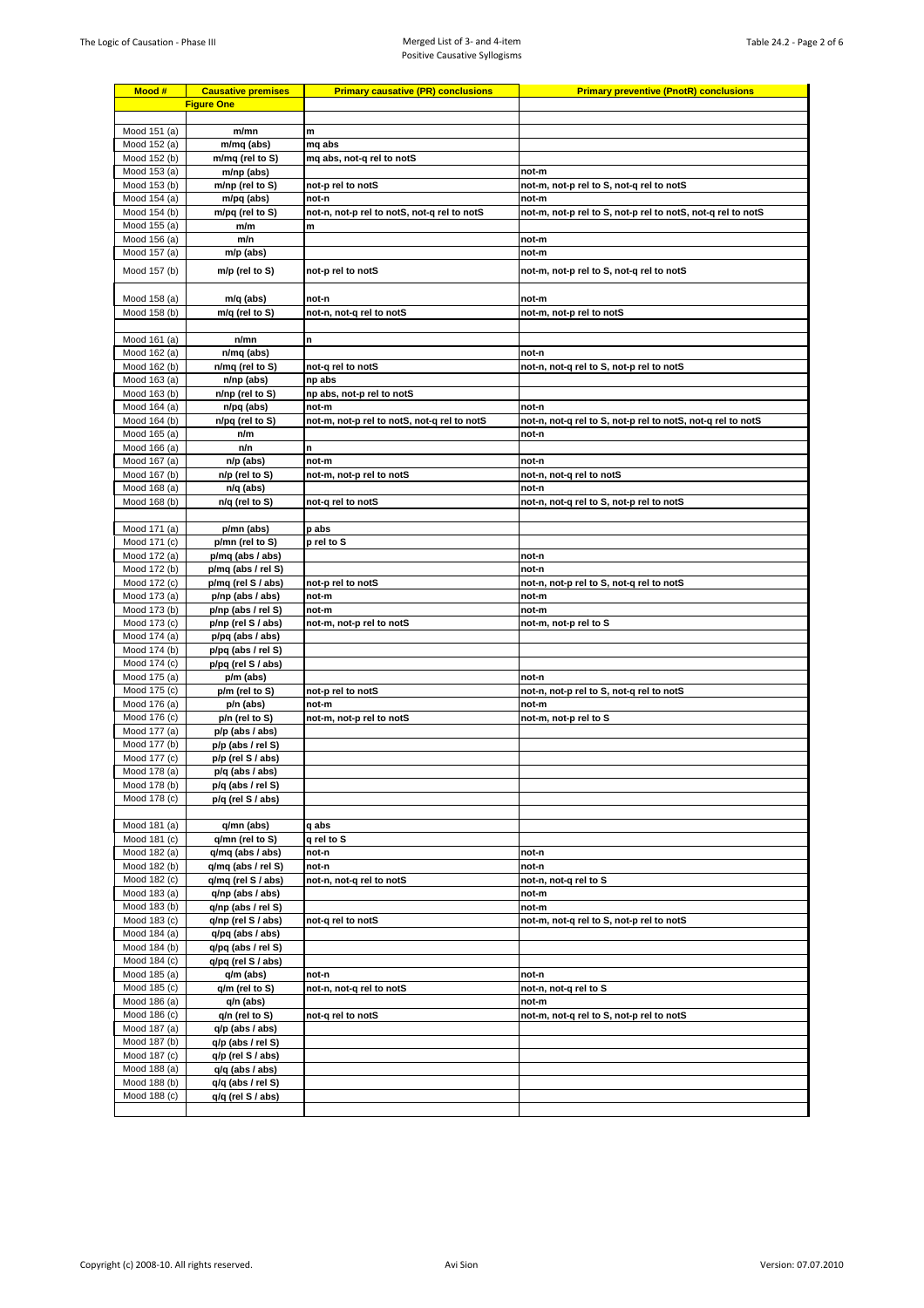| Mood #                       | <b>Causative premises</b>              | <b>Primary causative (PR) conclusions</b>   | <b>Primary preventive (PnotR) conclusions</b>               |
|------------------------------|----------------------------------------|---------------------------------------------|-------------------------------------------------------------|
|                              | <b>Figure One</b>                      |                                             |                                                             |
|                              |                                        |                                             |                                                             |
| Mood 151 (a)                 | m/mn                                   | m                                           |                                                             |
| Mood 152 (a)                 | m/mq (abs)                             | mq abs                                      |                                                             |
| Mood 152 (b)                 | m/mq (rel to S)                        | mg abs, not-g rel to notS                   |                                                             |
| Mood 153 (a)<br>Mood 153 (b) | m/np (abs)<br>m/np (rel to S)          | not-p rel to notS                           | not-m<br>not-m, not-p rel to S, not-q rel to notS           |
| Mood 154 (a)                 | m/pq (abs)                             | not-n                                       | not-m                                                       |
| Mood 154 (b)                 | m/pq (rel to S)                        | not-n, not-p rel to notS, not-q rel to notS | not-m, not-p rel to S, not-p rel to notS, not-q rel to notS |
| Mood 155 (a)                 | m/m                                    | m                                           |                                                             |
| Mood 156 (a)                 | m/n                                    |                                             | not-m                                                       |
| Mood 157 (a)                 | m/p (abs)                              |                                             | not-m                                                       |
| Mood 157 (b)                 | m/p (rel to S)                         | not-p rel to notS                           | not-m, not-p rel to S, not-q rel to notS                    |
|                              |                                        |                                             |                                                             |
| Mood 158 (a)                 | m/q (abs)                              | not-n                                       | not-m                                                       |
| Mood 158 (b)                 | m/q (rel to S)                         | not-n, not-q rel to notS                    | not-m, not-p rel to notS                                    |
|                              |                                        |                                             |                                                             |
| Mood 161 (a)                 | n/mn                                   | n                                           |                                                             |
| Mood 162 (a)<br>Mood 162 (b) | n/mq (abs)<br>n/mq (rel to S)          | not-q rel to notS                           | not-n                                                       |
| Mood 163 (a)                 | n/np (abs)                             | np abs                                      | not-n, not-q rel to S, not-p rel to notS                    |
| Mood 163 (b)                 | n/np (rel to S)                        | np abs, not-p rel to notS                   |                                                             |
| Mood 164 (a)                 | n/pq (abs)                             | not-m                                       | not-n                                                       |
| Mood 164 (b)                 | n/pq (rel to S)                        | not-m, not-p rel to notS, not-q rel to notS | not-n, not-q rel to S, not-p rel to notS, not-q rel to notS |
| Mood 165 (a)                 | n/m                                    |                                             | not-n                                                       |
| Mood 166 (a)                 | n/n                                    | n                                           |                                                             |
| Mood 167 (a)                 | n/p (abs)                              | not-m                                       | not-n                                                       |
| Mood 167 (b)<br>Mood 168 (a) | n/p (rel to S)<br>n/q (abs)            | not-m, not-p rel to notS                    | not-n, not-q rel to notS<br>not-n                           |
| Mood 168 (b)                 | n/q (rel to S)                         | not-g rel to notS                           | not-n, not-q rel to S, not-p rel to notS                    |
|                              |                                        |                                             |                                                             |
| Mood 171 (a)                 | p/mn (abs)                             | p abs                                       |                                                             |
| Mood 171 (c)                 | p/mn (rel to S)                        | p rel to S                                  |                                                             |
| Mood 172 (a)                 | p/mq (abs / abs)                       |                                             | not-n                                                       |
| Mood 172 (b)                 | p/mq (abs / rel S)                     |                                             | not-n                                                       |
| Mood 172 (c)<br>Mood 173 (a) | p/mq (rel S / abs)<br>p/np (abs / abs) | not-p rel to notS<br>not-m                  | not-n, not-p rel to S, not-q rel to notS<br>not-m           |
| Mood 173 (b)                 | p/np (abs / rel S)                     | not-m                                       | not-m                                                       |
| Mood 173 (c)                 | p/np (rel S / abs)                     | not-m, not-p rel to notS                    | not-m, not-p rel to S                                       |
| Mood 174 (a)                 | p/pq (abs / abs)                       |                                             |                                                             |
| Mood 174 (b)                 | p/pq (abs / rel S)                     |                                             |                                                             |
| Mood 174 (c)                 | p/pq (rel S / abs)                     |                                             |                                                             |
| Mood 175 (a)                 | p/m (abs)<br>p/m (rel to S)            |                                             | not-n<br>not-n, not-p rel to S, not-q rel to notS           |
| Mood 175 (c)<br>Mood 176 (a) | p/n (abs)                              | not-p rel to notS<br>not-m                  | not-m                                                       |
| Mood 176 (c)                 | p/n (rel to S)                         | not-m, not-p rel to notS                    | not-m, not-p rel to S                                       |
| Mood 177 (a)                 | $p/p$ (abs / abs)                      |                                             |                                                             |
| Mood 177 (b)                 | p/p (abs / rel S)                      |                                             |                                                             |
| Mood 177 (c)                 | p/p (rel S / abs)                      |                                             |                                                             |
| Mood 178 (a)                 | p/q (abs / abs)                        |                                             |                                                             |
| Mood 178 (b)<br>Mood 178 (c) | p/q (abs / rel S)<br>p/q (rel S / abs) |                                             |                                                             |
|                              |                                        |                                             |                                                             |
| Mood 181 (a)                 | q/mn (abs)                             | q abs                                       |                                                             |
| Mood 181 (c)                 | g/mn (rel to S)                        | q rel to S                                  |                                                             |
| Mood 182 (a)                 | q/mq (abs / abs)                       | not-n                                       | not-n                                                       |
| Mood 182 (b)                 | q/mq (abs / rel S)                     | not-n                                       | not-n                                                       |
| Mood 182 (c)                 | q/mq (rel S / abs)                     | not-n, not-q rel to notS                    | not-n, not-q rel to S                                       |
| Mood 183 (a)<br>Mood 183 (b) | q/np (abs / abs)<br>q/np (abs / rel S) |                                             | not-m<br>not-m                                              |
| Mood 183 (c)                 | q/np (rel S / abs)                     | not-q rel to notS                           | not-m, not-q rel to S, not-p rel to notS                    |
| Mood 184 (a)                 | q/pq (abs / abs)                       |                                             |                                                             |
| Mood 184 (b)                 | q/pq (abs / rel S)                     |                                             |                                                             |
| Mood 184 (c)                 | q/pq (rel S / abs)                     |                                             |                                                             |
| Mood 185 (a)                 | q/m (abs)                              | not-n                                       | not-n                                                       |
| Mood 185 (c)                 | q/m (rel to S)                         | not-n, not-q rel to notS                    | not-n, not-q rel to S                                       |
| Mood 186 (a)<br>Mood 186 (c) | q/n (abs)<br>q/n (rel to S)            | not-q rel to notS                           | not-m<br>not-m, not-q rel to S, not-p rel to notS           |
| Mood 187 (a)                 | q/p (abs / abs)                        |                                             |                                                             |
| Mood 187 (b)                 | q/p (abs / rel S)                      |                                             |                                                             |
| Mood 187 (c)                 | q/p (rel S / abs)                      |                                             |                                                             |
| Mood 188 (a)                 | $q/q$ (abs / abs)                      |                                             |                                                             |
| Mood 188 (b)                 | q/q (abs / rel S)                      |                                             |                                                             |
| Mood 188 (c)                 | q/q (rel S / abs)                      |                                             |                                                             |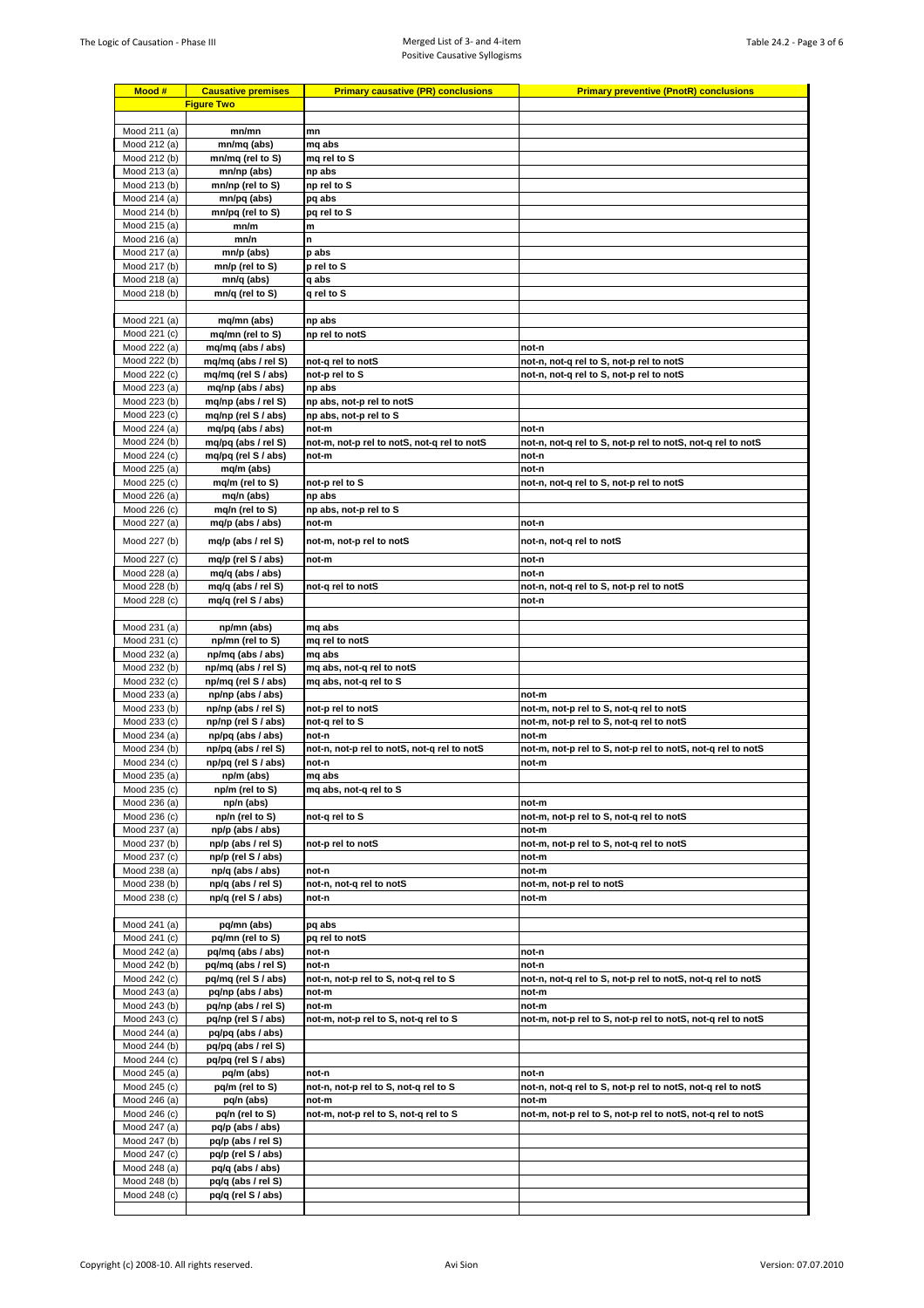| Mood #                       | <b>Causative premises</b>                | <b>Primary causative (PR) conclusions</b>   | <b>Primary preventive (PnotR) conclusions</b>                        |
|------------------------------|------------------------------------------|---------------------------------------------|----------------------------------------------------------------------|
|                              | <b>Figure Two</b>                        |                                             |                                                                      |
|                              |                                          |                                             |                                                                      |
| Mood 211 (a)                 | mn/mn                                    | mn                                          |                                                                      |
| Mood 212 (a)<br>Mood 212 (b) | mn/mq (abs)<br>mn/mq (rel to S)          | mq abs<br>mq rel to S                       |                                                                      |
| Mood 213 (a)                 | mn/np (abs)                              | np abs                                      |                                                                      |
| Mood 213 (b)                 | mn/np (rel to S)                         | np rel to S                                 |                                                                      |
| Mood 214 (a)                 | mn/pq (abs)                              | pq abs                                      |                                                                      |
| Mood 214 (b)                 | mn/pq (rel to S)                         | pq rel to S                                 |                                                                      |
| Mood 215 (a)                 | mn/m                                     | m                                           |                                                                      |
| Mood 216 (a)                 | mn/n                                     | n                                           |                                                                      |
| Mood 217 (a)<br>Mood 217 (b) | mn/p (abs)<br>mn/p (rel to S)            | p abs<br>p rel to S                         |                                                                      |
| Mood 218 (a)                 | mn/q (abs)                               | q abs                                       |                                                                      |
| Mood 218 (b)                 | mn/q (rel to S)                          | q rel to S                                  |                                                                      |
|                              |                                          |                                             |                                                                      |
| Mood 221 (a)                 | mq/mn (abs)                              | np abs                                      |                                                                      |
| Mood 221 (c)                 | mq/mn (rel to S)                         | np rel to notS                              |                                                                      |
| Mood 222 (a)<br>Mood 222 (b) | mq/mq (abs / abs)<br>mq/mq (abs / rel S) | not-q rel to notS                           | not-n<br>not-n, not-q rel to S, not-p rel to notS                    |
| Mood 222 (c)                 | mq/mq (rel S / abs)                      | not-p rel to S                              | not-n, not-q rel to S, not-p rel to notS                             |
| Mood 223 (a)                 | mq/np (abs / abs)                        | np abs                                      |                                                                      |
| Mood 223 (b)                 | mq/np (abs / rel S)                      | np abs, not-p rel to notS                   |                                                                      |
| Mood 223 (c)                 | mq/np (rel S / abs)                      | np abs, not-p rel to S                      |                                                                      |
| Mood 224 (a)                 | mq/pq (abs / abs)                        | not-m                                       | not-n                                                                |
| Mood 224 (b)                 | mq/pq (abs / rel S)                      | not-m, not-p rel to notS, not-q rel to notS | not-n, not-q rel to S, not-p rel to notS, not-q rel to notS          |
| Mood 224 (c)<br>Mood 225 (a) | mq/pq (rel S / abs)<br>mq/m (abs)        | not-m                                       | not-n<br>not-n                                                       |
| Mood 225 (c)                 | mq/m (rel to S)                          | not-p rel to S                              | not-n, not-q rel to S, not-p rel to notS                             |
| Mood 226 (a)                 | mq/n (abs)                               | np abs                                      |                                                                      |
| Mood 226 (c)                 | mq/n (rel to S)                          | np abs, not-p rel to S                      |                                                                      |
| Mood 227 (a)                 | mq/p (abs / abs)                         | not-m                                       | not-n                                                                |
| Mood 227 (b)                 | mq/p (abs / rel S)                       | not-m, not-p rel to notS                    | not-n, not-q rel to notS                                             |
| Mood 227 (c)                 | mq/p (rel S / abs)                       | not-m                                       | not-n                                                                |
| Mood 228 (a)                 | mq/q (abs / abs)                         |                                             | not-n                                                                |
| Mood 228 (b)                 | mq/q (abs / rel S)                       | not-q rel to notS                           | not-n, not-q rel to S, not-p rel to notS                             |
| Mood 228 (c)                 | mq/q (rel S / abs)                       |                                             | not-n                                                                |
|                              |                                          |                                             |                                                                      |
| Mood 231 (a)<br>Mood 231 (c) | np/mn (abs)<br>np/mn (rel to S)          | mq abs<br>mq rel to notS                    |                                                                      |
| Mood 232 (a)                 | np/mq (abs / abs)                        | mq abs                                      |                                                                      |
| Mood 232 (b)                 | np/mq (abs / rel S)                      | mq abs, not-q rel to notS                   |                                                                      |
| Mood 232 (c)                 | np/mq (rel S / abs)                      | mg abs, not-g rel to S                      |                                                                      |
| Mood 233 (a)                 | np/np (abs / abs)                        |                                             | not-m                                                                |
| Mood 233 (b)                 | np/np (abs / rel S)                      | not-p rel to notS<br>not-g rel to S         | not-m, not-p rel to S, not-q rel to notS                             |
| Mood 233 (c)<br>Mood 234 (a) | np/np (rel S / abs)<br>np/pq (abs / abs) | not-n                                       | not-m, not-p rel to S, not-q rel to notS<br>not-m                    |
| Mood 234 (b)                 | np/pq (abs / rel S)                      | not-n, not-p rel to notS, not-q rel to notS | not-m, not-p rel to S, not-p rel to notS, not-q rel to notS          |
| Mood 234 (c)                 | np/pq (rel S / abs)                      | not-n                                       | not-m                                                                |
| Mood 235 (a)                 | np/m (abs)                               | mq abs                                      |                                                                      |
| Mood 235 (c)                 | np/m (rel to S)                          | mq abs, not-q rel to S                      |                                                                      |
| Mood 236 (a)                 | np/n (abs)                               | not-g rel to S                              | not-m                                                                |
| Mood 236 (c)<br>Mood 237 (a) | np/n (rel to S)<br>np/p (abs / abs)      |                                             | not-m, not-p rel to S, not-q rel to notS<br>not-m                    |
| Mood 237 (b)                 | np/p (abs / rel S)                       | not-p rel to notS                           | not-m, not-p rel to S, not-q rel to notS                             |
| Mood 237 (c)                 | np/p (rel S / abs)                       |                                             | not-m                                                                |
| Mood 238 (a)                 | np/q (abs / abs)                         | not-n                                       | not-m                                                                |
| Mood 238 (b)                 | np/q (abs / rel S)                       | not-n, not-q rel to notS                    | not-m, not-p rel to notS                                             |
| Mood 238 (c)                 | np/q (rel S / abs)                       | not-n                                       | not-m                                                                |
| Mood 241 (a)                 | pq/mn (abs)                              | pq abs                                      |                                                                      |
| Mood 241 (c)                 | pq/mn (rel to S)                         | pq rel to notS                              |                                                                      |
| Mood 242 (a)                 | pq/mq (abs / abs)                        | not-n                                       | not-n                                                                |
| Mood 242 (b)                 | pq/mq (abs / rel S)                      | not-n                                       | not-n                                                                |
| Mood 242 (c)                 | pq/mq (rel S / abs)                      | not-n, not-p rel to S, not-q rel to S       | not-n, not-q rel to S, not-p rel to notS, not-q rel to notS          |
| Mood 243 (a)                 | pq/np (abs / abs)                        | not-m                                       | not-m                                                                |
| Mood 243 (b)<br>Mood 243 (c) | pq/np (abs / rel S)                      | not-m                                       | not-m<br>not-m, not-p rel to S, not-p rel to notS, not-q rel to notS |
| Mood 244 (a)                 | pq/np (rel S / abs)<br>pq/pq (abs / abs) | not-m, not-p rel to S, not-q rel to S       |                                                                      |
| Mood 244 (b)                 | pq/pq (abs / rel S)                      |                                             |                                                                      |
| Mood 244 (c)                 | pq/pq (rel S / abs)                      |                                             |                                                                      |
| Mood 245 (a)                 | pq/m (abs)                               | not-n                                       | not-n                                                                |
| Mood 245 (c)                 | pq/m (rel to S)                          | not-n, not-p rel to S, not-q rel to S       | not-n, not-q rel to S, not-p rel to notS, not-q rel to notS          |
| Mood 246 (a)                 | pq/n (abs)                               | not-m                                       | not-m                                                                |
| Mood 246 (c)<br>Mood 247 (a) | pq/n (rel to S)<br>pq/p (abs / abs)      | not-m, not-p rel to S, not-q rel to S       | not-m, not-p rel to S, not-p rel to notS, not-q rel to notS          |
| Mood 247 (b)                 | pq/p (abs / rel S)                       |                                             |                                                                      |
| Mood 247 (c)                 | pq/p (rel S / abs)                       |                                             |                                                                      |
| Mood 248 (a)                 | pq/q (abs / abs)                         |                                             |                                                                      |
| Mood 248 (b)                 | pq/q (abs / rel S)                       |                                             |                                                                      |
| Mood 248 (c)                 | pq/q (rel S / abs)                       |                                             |                                                                      |
|                              |                                          |                                             |                                                                      |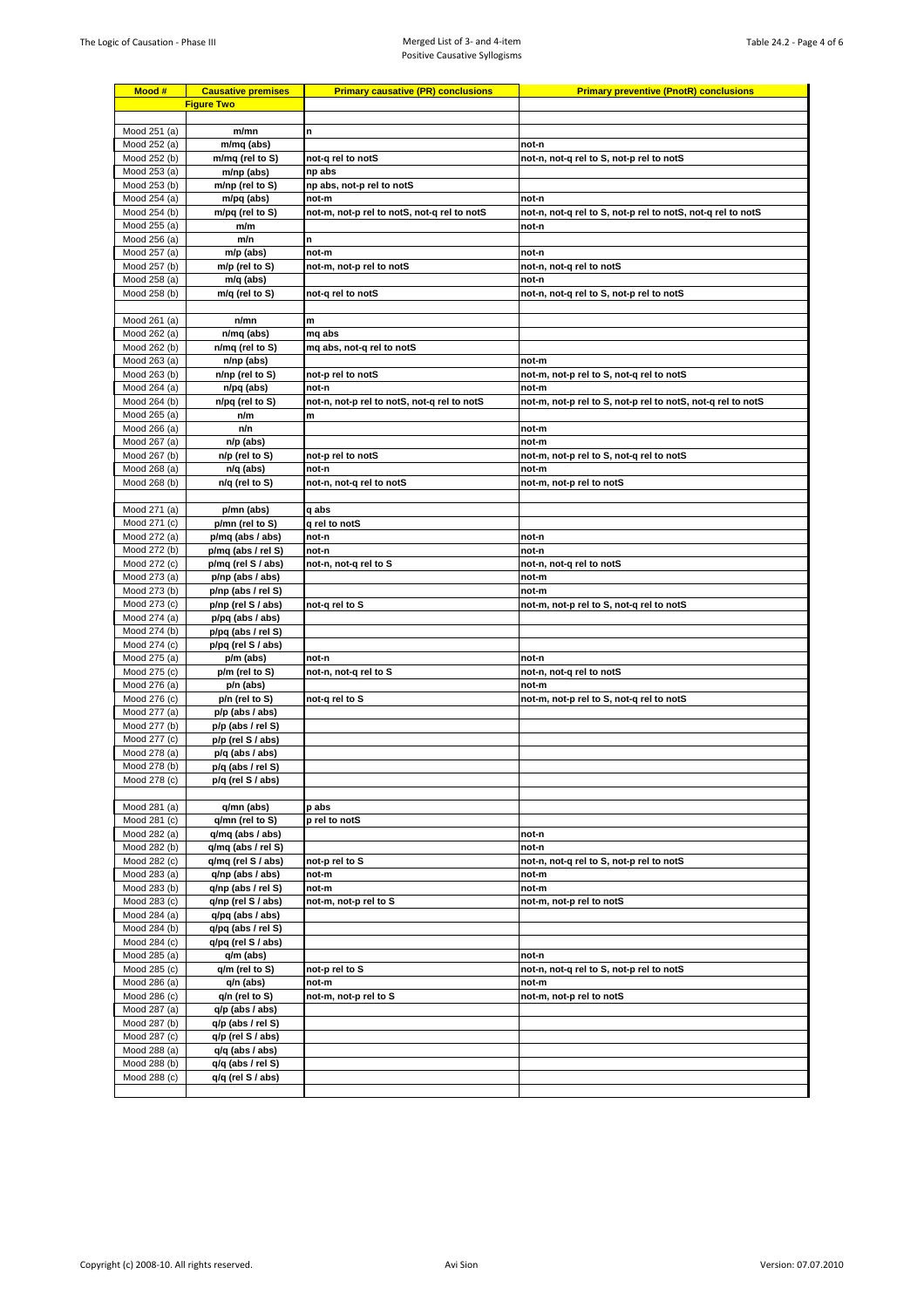| Mood #                       | <b>Causative premises</b>                | <b>Primary causative (PR) conclusions</b>   | <b>Primary preventive (PnotR) conclusions</b>               |
|------------------------------|------------------------------------------|---------------------------------------------|-------------------------------------------------------------|
| <b>Figure Two</b>            |                                          |                                             |                                                             |
| Mood 251 (a)                 | m/mn                                     | n                                           |                                                             |
| Mood 252 (a)                 | m/mq (abs)                               |                                             | not-n                                                       |
| Mood 252 (b)                 | m/mq (rel to S)                          | not-q rel to notS                           | not-n, not-g rel to S, not-p rel to notS                    |
| Mood 253 (a)                 | m/np (abs)                               | np abs                                      |                                                             |
| Mood 253 (b)                 | m/np (rel to S)                          | np abs, not-p rel to notS                   |                                                             |
| Mood 254 (a)                 | m/pq (abs)                               | not-m                                       | not-n                                                       |
| Mood 254 (b)                 | m/pq (rel to S)                          | not-m, not-p rel to notS, not-q rel to notS | not-n, not-q rel to S, not-p rel to notS, not-q rel to notS |
| Mood 255 (a)<br>Mood 256 (a) | m/m<br>m/n                               | n                                           | not-n                                                       |
| Mood 257 (a)                 | m/p (abs)                                | not-m                                       | not-n                                                       |
| Mood 257 (b)                 | m/p (rel to S)                           | not-m, not-p rel to notS                    | not-n, not-q rel to notS                                    |
| Mood 258 (a)                 | m/q (abs)                                |                                             | not-n                                                       |
| Mood 258 (b)                 | m/q (rel to S)                           | not-q rel to notS                           | not-n, not-q rel to S, not-p rel to notS                    |
|                              |                                          |                                             |                                                             |
| Mood 261 (a)<br>Mood 262 (a) | n/mn<br>n/mq (abs)                       | m<br>mq abs                                 |                                                             |
| Mood 262 (b)                 | n/mq (rel to S)                          | mq abs, not-q rel to notS                   |                                                             |
| Mood 263 (a)                 | n/np (abs)                               |                                             | not-m                                                       |
| Mood 263 (b)                 | n/np (rel to S)                          | not-p rel to notS                           | not-m, not-p rel to S, not-q rel to notS                    |
| Mood 264 (a)                 | n/pq (abs)                               | not-n                                       | not-m                                                       |
| Mood 264 (b)                 | n/pq (rel to S)                          | not-n, not-p rel to notS, not-q rel to notS | not-m, not-p rel to S, not-p rel to notS, not-q rel to notS |
| Mood 265 (a)                 | n/m                                      | m                                           |                                                             |
| Mood 266 (a)<br>Mood 267 (a) | n/n<br>$n/p$ (abs)                       |                                             | not-m<br>not-m                                              |
| Mood 267 (b)                 | n/p (rel to S)                           | not-p rel to notS                           | not-m, not-p rel to S, not-q rel to notS                    |
| Mood 268 (a)                 | n/q (abs)                                | not-n                                       | not-m                                                       |
| Mood 268 (b)                 | n/q (rel to S)                           | not-n, not-q rel to notS                    | not-m, not-p rel to notS                                    |
|                              |                                          |                                             |                                                             |
| Mood 271 (a)                 | p/mn (abs)                               | q abs                                       |                                                             |
| Mood 271 (c)                 | p/mn (rel to S)                          | q rel to notS<br>not-n                      | not-n                                                       |
| Mood 272 (a)<br>Mood 272 (b) | p/mq (abs / abs)<br>p/mq (abs / rel S)   | not-n                                       | not-n                                                       |
| Mood 272 (c)                 | p/mq (rel S / abs)                       | not-n, not-q rel to S                       | not-n, not-q rel to notS                                    |
| Mood 273 (a)                 | p/np (abs / abs)                         |                                             | not-m                                                       |
| Mood 273 (b)                 | p/np (abs / rel S)                       |                                             | not-m                                                       |
| Mood 273 (c)                 | p/np (rel S / abs)                       | not-q rel to S                              | not-m, not-p rel to S, not-q rel to notS                    |
| Mood 274 (a)                 | p/pq (abs / abs)                         |                                             |                                                             |
| Mood 274 (b)<br>Mood 274 (c) | p/pq (abs / rel S)<br>p/pq (rel S / abs) |                                             |                                                             |
| Mood 275 (a)                 | p/m (abs)                                | not-n                                       | not-n                                                       |
| Mood 275 (c)                 | p/m (rel to S)                           | not-n, not-q rel to S                       | not-n, not-q rel to notS                                    |
| Mood 276 (a)                 | p/n (abs)                                |                                             | not-m                                                       |
| Mood 276 (c)                 | p/n (rel to S)                           | not-g rel to S                              | not-m, not-p rel to S, not-q rel to notS                    |
| Mood 277 (a)                 | p/p (abs / abs)                          |                                             |                                                             |
| Mood 277 (b)                 | p/p (abs / rel S)                        |                                             |                                                             |
| Mood 277 (c)<br>Mood 278 (a) | p/p (rel S / abs)<br>p/q (abs / abs)     |                                             |                                                             |
| Mood 278 (b)                 | p/q (abs / rel S)                        |                                             |                                                             |
| Mood 278 (c)                 | p/q (rel S / abs)                        |                                             |                                                             |
|                              |                                          |                                             |                                                             |
| Mood 281 (a)                 | q/mn (abs)                               | p abs                                       |                                                             |
| Mood 281 (c)                 | q/mn (rel to S)                          | p rel to notS                               |                                                             |
| Mood 282 (a)<br>Mood 282 (b) | q/mq (abs / abs)<br>q/mq (abs / rel S)   |                                             | not-n<br>not-n                                              |
| Mood 282 (c)                 | q/mq (rel S / abs)                       | not-p rel to S                              | not-n, not-q rel to S, not-p rel to notS                    |
| Mood 283 (a)                 | q/np (abs / abs)                         | not-m                                       | not-m                                                       |
| Mood 283 (b)                 | q/np (abs / rel S)                       | not-m                                       | not-m                                                       |
| Mood 283 (c)                 | q/np (rel S / abs)                       | not-m, not-p rel to S                       | not-m, not-p rel to notS                                    |
| Mood 284 (a)                 | q/pq (abs / abs)                         |                                             |                                                             |
| Mood 284 (b)                 | q/pq (abs / rel S)                       |                                             |                                                             |
| Mood 284 (c)<br>Mood 285 (a) | q/pq (rel S / abs)<br>q/m (abs)          |                                             | not-n                                                       |
| Mood 285 (c)                 | $q/m$ (rel to S)                         | not-p rel to S                              | not-n, not-q rel to S, not-p rel to notS                    |
| Mood 286 (a)                 | q/n (abs)                                | not-m                                       | not-m                                                       |
| Mood 286 (c)                 | q/n (rel to S)                           | not-m, not-p rel to S                       | not-m, not-p rel to notS                                    |
| Mood 287 (a)                 | $q/p$ (abs / abs)                        |                                             |                                                             |
| Mood 287 (b)                 | q/p (abs / rel S)                        |                                             |                                                             |
| Mood 287 (c)                 | q/p (rel S / abs)                        |                                             |                                                             |
| Mood 288 (a)<br>Mood 288 (b) | $q/q$ (abs / abs)<br>q/q (abs / rel S)   |                                             |                                                             |
| Mood 288 (c)                 | q/q (rel S / abs)                        |                                             |                                                             |
|                              |                                          |                                             |                                                             |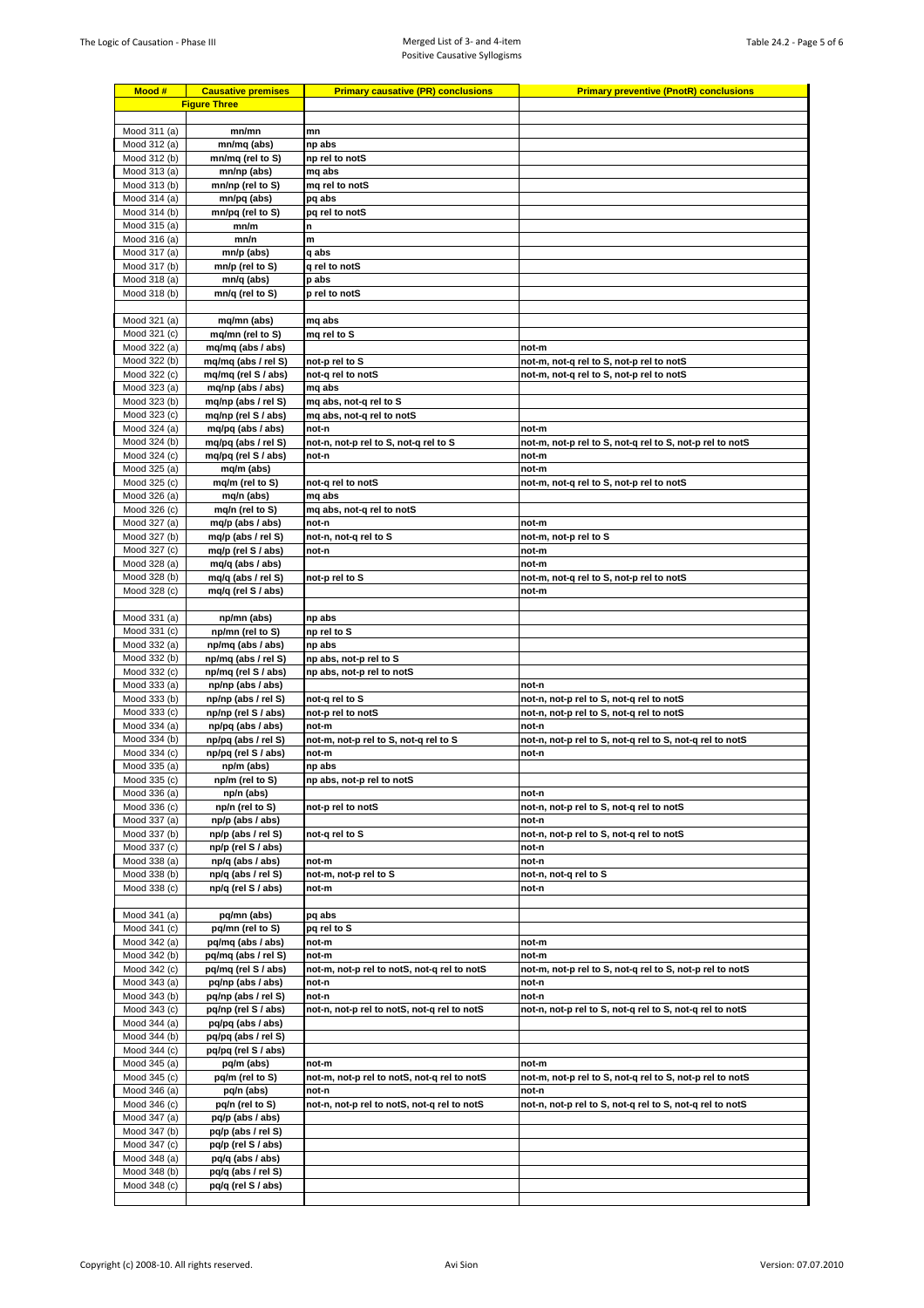| Mood #                       | <b>Causative premises</b>                  | <b>Primary causative (PR) conclusions</b>            | <b>Primary preventive (PnotR) conclusions</b>                                        |
|------------------------------|--------------------------------------------|------------------------------------------------------|--------------------------------------------------------------------------------------|
| <b>Figure Three</b>          |                                            |                                                      |                                                                                      |
| Mood 311 (a)                 | mn/mn                                      | mn                                                   |                                                                                      |
| Mood 312 (a)                 | mn/mq (abs)                                | np abs                                               |                                                                                      |
| Mood 312 (b)                 | mn/mq (rel to S)                           | np rel to notS                                       |                                                                                      |
| Mood 313 (a)<br>Mood 313 (b) | mn/np (abs)<br>mn/np (rel to S)            | mq abs<br>mq rel to notS                             |                                                                                      |
| Mood 314 (a)                 | mn/pq (abs)                                | pq abs                                               |                                                                                      |
| Mood 314 (b)                 | mn/pq (rel to S)                           | pq rel to notS                                       |                                                                                      |
| Mood 315 (a)                 | mn/m                                       | n                                                    |                                                                                      |
| Mood 316 (a)                 | mn/n                                       | m                                                    |                                                                                      |
| Mood 317 (a)<br>Mood 317 (b) | mn/p (abs)<br>mn/p (rel to S)              | q abs<br>q rel to notS                               |                                                                                      |
| Mood 318 (a)                 | mn/q (abs)                                 | p abs                                                |                                                                                      |
| Mood 318 (b)                 | mn/q (rel to S)                            | p rel to notS                                        |                                                                                      |
|                              |                                            |                                                      |                                                                                      |
| Mood 321 (a)                 | mq/mn (abs)                                | mq abs                                               |                                                                                      |
| Mood 321 (c)<br>Mood 322 (a) | mq/mn (rel to S)<br>mq/mq (abs / abs)      | mq rel to S                                          | not-m                                                                                |
| Mood 322 (b)                 | mq/mq (abs / rel S)                        | not-p rel to S                                       | not-m, not-q rel to S, not-p rel to notS                                             |
| Mood 322 (c)                 | mq/mq (rel S / abs)                        | not-q rel to notS                                    | not-m, not-q rel to S, not-p rel to notS                                             |
| Mood 323 (a)                 | mg/np (abs / abs)                          | mq abs                                               |                                                                                      |
| Mood 323 (b)<br>Mood 323 (c) | mg/np (abs / rel S)<br>mg/np (rel S / abs) | mq abs, not-q rel to S<br>mq abs, not-q rel to notS  |                                                                                      |
| Mood 324 (a)                 | mq/pq (abs / abs)                          | not-n                                                | not-m                                                                                |
| Mood 324 (b)                 | mq/pq (abs / rel S)                        | not-n, not-p rel to S, not-q rel to S                | not-m, not-p rel to S, not-q rel to S, not-p rel to notS                             |
| Mood 324 (c)                 | mq/pq (rel S / abs)                        | not-n                                                | not-m                                                                                |
| Mood 325 (a)                 | mq/m (abs)                                 | not-q rel to notS                                    | not-m                                                                                |
| Mood 325 (c)<br>Mood 326 (a) | mq/m (rel to S)<br>mq/n (abs)              | mq abs                                               | not-m, not-q rel to S, not-p rel to notS                                             |
| Mood 326 (c)                 | mq/n (rel to S)                            | mq abs, not-q rel to notS                            |                                                                                      |
| Mood 327 (a)                 | mq/p (abs / abs)                           | not-n                                                | not-m                                                                                |
| Mood 327 (b)                 | mq/p (abs / rel S)                         | not-n, not-q rel to S                                | not-m, not-p rel to S                                                                |
| Mood 327 (c)<br>Mood 328 (a) | mq/p (rel S / abs)<br>mq/q (abs / abs)     | not-n                                                | not-m<br>not-m                                                                       |
| Mood 328 (b)                 | mq/q (abs / rel S)                         | not-p rel to S                                       | not-m, not-q rel to S, not-p rel to notS                                             |
| Mood 328 (c)                 | mq/q (rel S / abs)                         |                                                      | not-m                                                                                |
|                              |                                            |                                                      |                                                                                      |
| Mood 331 (a)<br>Mood 331 (c) | np/mn (abs)<br>np/mn (rel to S)            | np abs<br>np rel to S                                |                                                                                      |
| Mood 332 (a)                 | np/mq (abs / abs)                          | np abs                                               |                                                                                      |
| Mood 332 (b)                 | np/mq (abs / rel S)                        | np abs, not-p rel to S                               |                                                                                      |
| Mood 332 (c)                 | np/mq (rel S / abs)                        | np abs, not-p rel to notS                            |                                                                                      |
| Mood 333 (a)                 | np/np (abs / abs)                          |                                                      | not-n                                                                                |
| Mood 333 (b)<br>Mood 333 (c) | np/np (abs / rel S)<br>np/np (rel S / abs) | not-q rel to S<br>not-p rel to notS                  | not-n, not-p rel to S, not-q rel to notS<br>not-n, not-p rel to S, not-q rel to notS |
| Mood 334 (a)                 | np/pq (abs / abs)                          | not-m                                                | not-n                                                                                |
| Mood 334 (b)                 | np/pq (abs / rel S)                        | not-m, not-p rel to S, not-q rel to S                | not-n, not-p rel to S, not-q rel to S, not-q rel to notS                             |
| Mood 334 (c)                 | np/pq (rel S / abs)                        | not-m                                                | not-n                                                                                |
| Mood 335 (a)<br>Mood 335 (c) | np/m (abs)<br>np/m (rel to S)              | np abs<br>np abs, not-p rel to notS                  |                                                                                      |
| Mood 336 (a)                 | np/n (abs)                                 |                                                      | not-n                                                                                |
| Mood 336 (c)                 | np/n (rel to S)                            | not-p rel to notS                                    | not-n, not-p rel to S, not-g rel to notS                                             |
| Mood 337 (a)                 | np/p (abs / abs)                           |                                                      | not-n                                                                                |
| Mood 337 (b)<br>Mood 337 (c) | np/p (abs / rel S)<br>np/p (rel S / abs)   | not-q rel to S                                       | not-n, not-p rel to S, not-q rel to notS<br>not-n                                    |
| Mood 338 (a)                 | np/q (abs / abs)                           | not-m                                                | not-n                                                                                |
| Mood 338 (b)                 | np/q (abs / rel S)                         | not-m, not-p rel to S                                | not-n, not-q rel to S                                                                |
| Mood 338 (c)                 | np/q (rel S / abs)                         | not-m                                                | not-n                                                                                |
|                              |                                            |                                                      |                                                                                      |
| Mood 341 (a)<br>Mood 341 (c) | pq/mn (abs)<br>pa/mn (rel to S)            | pq abs<br>pq rel to S                                |                                                                                      |
| Mood 342 (a)                 | pq/mq (abs / abs)                          | not-m                                                | not-m                                                                                |
| Mood 342 (b)                 | pq/mq (abs / rel S)                        | not-m                                                | not-m                                                                                |
| Mood 342 (c)                 | pq/mq (rel S / abs)                        | not-m, not-p rel to notS, not-q rel to notS          | not-m, not-p rel to S, not-q rel to S, not-p rel to notS                             |
| Mood 343 (a)                 | pq/np (abs / abs)                          | not-n                                                | not-n                                                                                |
| Mood 343 (b)<br>Mood 343 (c) | pq/np (abs / rel S)<br>pq/np (rel S / abs) | not-n<br>not-n, not-p rel to notS, not-q rel to notS | not-n<br>not-n, not-p rel to S, not-q rel to S, not-q rel to notS                    |
| Mood 344 (a)                 | pq/pq (abs / abs)                          |                                                      |                                                                                      |
| Mood 344 (b)                 | pq/pq (abs / rel S)                        |                                                      |                                                                                      |
| Mood 344 (c)                 | pq/pq (rel S / abs)                        |                                                      |                                                                                      |
| Mood 345 (a)                 | pq/m (abs)                                 | not-m                                                | not-m                                                                                |
| Mood 345 (c)<br>Mood 346 (a) | pq/m (rel to S)<br>pq/n (abs)              | not-m, not-p rel to notS, not-q rel to notS<br>not-n | not-m, not-p rel to S, not-q rel to S, not-p rel to notS<br>not-n                    |
| Mood 346 (c)                 | pq/n (rel to S)                            | not-n, not-p rel to notS, not-q rel to notS          | not-n, not-p rel to S, not-q rel to S, not-q rel to notS                             |
| Mood 347 (a)                 | pq/p (abs / abs)                           |                                                      |                                                                                      |
| Mood 347 (b)                 | pq/p (abs / rel S)                         |                                                      |                                                                                      |
| Mood 347 (c)                 | pq/p (rel S / abs)                         |                                                      |                                                                                      |
| Mood 348 (a)<br>Mood 348 (b) | pq/q (abs / abs)<br>pq/q (abs / rel S)     |                                                      |                                                                                      |
| Mood 348 (c)                 | pq/q (rel S / abs)                         |                                                      |                                                                                      |
|                              |                                            |                                                      |                                                                                      |